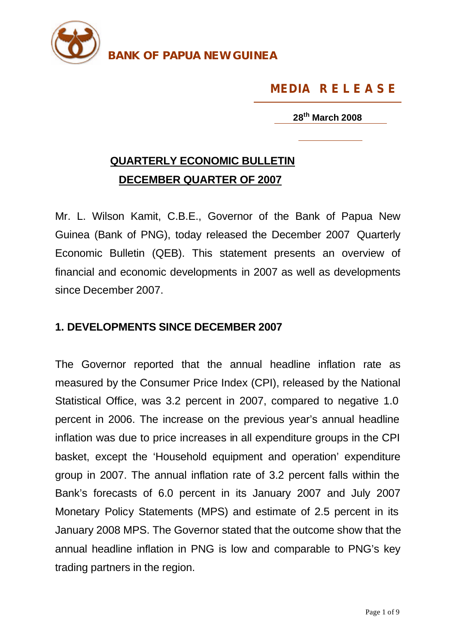

**BANK OF PAPUA NEW GUINEA**

## **MEDIA R E L E A S E**

**28 th March 2008**

## **QUARTERLY ECONOMIC BULLETIN DECEMBER QUARTER OF 2007**

Mr. L. Wilson Kamit, C.B.E., Governor of the Bank of Papua New Guinea (Bank of PNG), today released the December 2007 Quarterly Economic Bulletin (QEB). This statement presents an overview of financial and economic developments in 2007 as well as developments since December 2007.

## **1. DEVELOPMENTS SINCE DECEMBER 2007**

The Governor reported that the annual headline inflation rate as measured by the Consumer Price Index (CPI), released by the National Statistical Office, was 3.2 percent in 2007, compared to negative 1.0 percent in 2006. The increase on the previous year's annual headline inflation was due to price increases in all expenditure groups in the CPI basket, except the 'Household equipment and operation' expenditure group in 2007. The annual inflation rate of 3.2 percent falls within the Bank's forecasts of 6.0 percent in its January 2007 and July 2007 Monetary Policy Statements (MPS) and estimate of 2.5 percent in its January 2008 MPS. The Governor stated that the outcome show that the annual headline inflation in PNG is low and comparable to PNG's key trading partners in the region.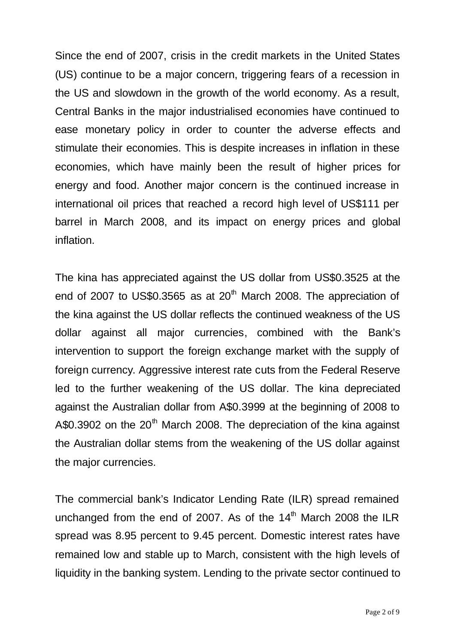Since the end of 2007, crisis in the credit markets in the United States (US) continue to be a major concern, triggering fears of a recession in the US and slowdown in the growth of the world economy. As a result, Central Banks in the major industrialised economies have continued to ease monetary policy in order to counter the adverse effects and stimulate their economies. This is despite increases in inflation in these economies, which have mainly been the result of higher prices for energy and food. Another major concern is the continued increase in international oil prices that reached a record high level of US\$111 per barrel in March 2008, and its impact on energy prices and global inflation.

The kina has appreciated against the US dollar from US\$0.3525 at the end of 2007 to US\$0.3565 as at  $20<sup>th</sup>$  March 2008. The appreciation of the kina against the US dollar reflects the continued weakness of the US dollar against all major currencies, combined with the Bank's intervention to support the foreign exchange market with the supply of foreign currency. Aggressive interest rate cuts from the Federal Reserve led to the further weakening of the US dollar. The kina depreciated against the Australian dollar from A\$0.3999 at the beginning of 2008 to A\$0.3902 on the  $20<sup>th</sup>$  March 2008. The depreciation of the kina against the Australian dollar stems from the weakening of the US dollar against the major currencies.

The commercial bank's Indicator Lending Rate (ILR) spread remained unchanged from the end of 2007. As of the  $14<sup>th</sup>$  March 2008 the ILR spread was 8.95 percent to 9.45 percent. Domestic interest rates have remained low and stable up to March, consistent with the high levels of liquidity in the banking system. Lending to the private sector continued to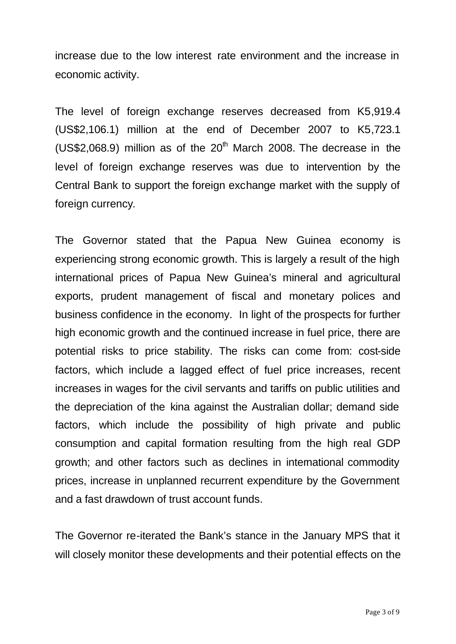increase due to the low interest rate environment and the increase in economic activity.

The level of foreign exchange reserves decreased from K5,919.4 (US\$2,106.1) million at the end of December 2007 to K5,723.1 (US\$2,068.9) million as of the  $20<sup>th</sup>$  March 2008. The decrease in the level of foreign exchange reserves was due to intervention by the Central Bank to support the foreign exchange market with the supply of foreign currency.

The Governor stated that the Papua New Guinea economy is experiencing strong economic growth. This is largely a result of the high international prices of Papua New Guinea's mineral and agricultural exports, prudent management of fiscal and monetary polices and business confidence in the economy. In light of the prospects for further high economic growth and the continued increase in fuel price, there are potential risks to price stability. The risks can come from: cost-side factors, which include a lagged effect of fuel price increases, recent increases in wages for the civil servants and tariffs on public utilities and the depreciation of the kina against the Australian dollar; demand side factors, which include the possibility of high private and public consumption and capital formation resulting from the high real GDP growth; and other factors such as declines in international commodity prices, increase in unplanned recurrent expenditure by the Government and a fast drawdown of trust account funds.

The Governor re-iterated the Bank's stance in the January MPS that it will closely monitor these developments and their potential effects on the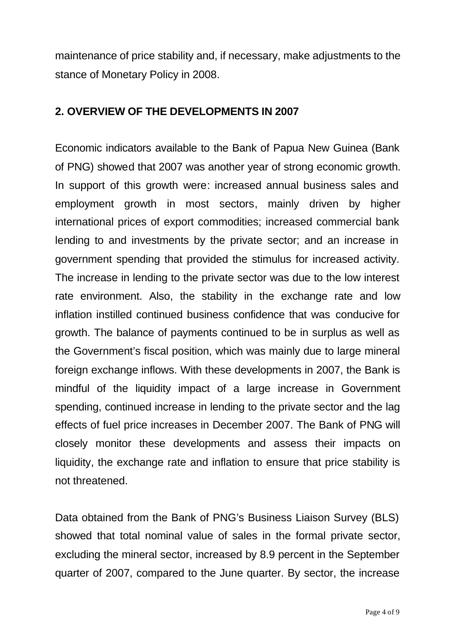maintenance of price stability and, if necessary, make adjustments to the stance of Monetary Policy in 2008.

## **2. OVERVIEW OF THE DEVELOPMENTS IN 2007**

Economic indicators available to the Bank of Papua New Guinea (Bank of PNG) showed that 2007 was another year of strong economic growth. In support of this growth were: increased annual business sales and employment growth in most sectors, mainly driven by higher international prices of export commodities; increased commercial bank lending to and investments by the private sector; and an increase in government spending that provided the stimulus for increased activity. The increase in lending to the private sector was due to the low interest rate environment. Also, the stability in the exchange rate and low inflation instilled continued business confidence that was conducive for growth. The balance of payments continued to be in surplus as well as the Government's fiscal position, which was mainly due to large mineral foreign exchange inflows. With these developments in 2007, the Bank is mindful of the liquidity impact of a large increase in Government spending, continued increase in lending to the private sector and the lag effects of fuel price increases in December 2007. The Bank of PNG will closely monitor these developments and assess their impacts on liquidity, the exchange rate and inflation to ensure that price stability is not threatened.

Data obtained from the Bank of PNG's Business Liaison Survey (BLS) showed that total nominal value of sales in the formal private sector, excluding the mineral sector, increased by 8.9 percent in the September quarter of 2007, compared to the June quarter. By sector, the increase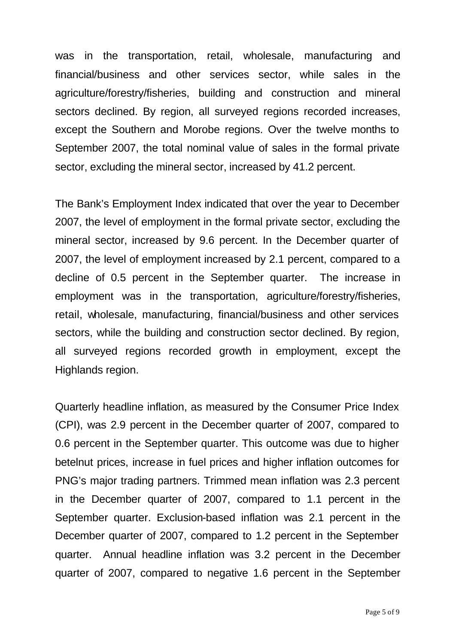was in the transportation, retail, wholesale, manufacturing and financial/business and other services sector, while sales in the agriculture/forestry/fisheries, building and construction and mineral sectors declined. By region, all surveyed regions recorded increases, except the Southern and Morobe regions. Over the twelve months to September 2007, the total nominal value of sales in the formal private sector, excluding the mineral sector, increased by 41.2 percent.

The Bank's Employment Index indicated that over the year to December 2007, the level of employment in the formal private sector, excluding the mineral sector, increased by 9.6 percent. In the December quarter of 2007, the level of employment increased by 2.1 percent, compared to a decline of 0.5 percent in the September quarter. The increase in employment was in the transportation, agriculture/forestry/fisheries, retail, wholesale, manufacturing, financial/business and other services sectors, while the building and construction sector declined. By region, all surveyed regions recorded growth in employment, except the Highlands region.

Quarterly headline inflation, as measured by the Consumer Price Index (CPI), was 2.9 percent in the December quarter of 2007, compared to 0.6 percent in the September quarter. This outcome was due to higher betelnut prices, increase in fuel prices and higher inflation outcomes for PNG's major trading partners. Trimmed mean inflation was 2.3 percent in the December quarter of 2007, compared to 1.1 percent in the September quarter. Exclusion-based inflation was 2.1 percent in the December quarter of 2007, compared to 1.2 percent in the September quarter. Annual headline inflation was 3.2 percent in the December quarter of 2007, compared to negative 1.6 percent in the September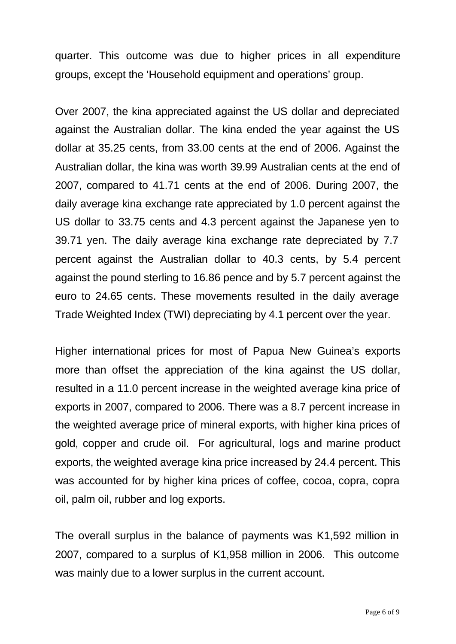quarter. This outcome was due to higher prices in all expenditure groups, except the 'Household equipment and operations' group.

Over 2007, the kina appreciated against the US dollar and depreciated against the Australian dollar. The kina ended the year against the US dollar at 35.25 cents, from 33.00 cents at the end of 2006. Against the Australian dollar, the kina was worth 39.99 Australian cents at the end of 2007, compared to 41.71 cents at the end of 2006. During 2007, the daily average kina exchange rate appreciated by 1.0 percent against the US dollar to 33.75 cents and 4.3 percent against the Japanese yen to 39.71 yen. The daily average kina exchange rate depreciated by 7.7 percent against the Australian dollar to 40.3 cents, by 5.4 percent against the pound sterling to 16.86 pence and by 5.7 percent against the euro to 24.65 cents. These movements resulted in the daily average Trade Weighted Index (TWI) depreciating by 4.1 percent over the year.

Higher international prices for most of Papua New Guinea's exports more than offset the appreciation of the kina against the US dollar, resulted in a 11.0 percent increase in the weighted average kina price of exports in 2007, compared to 2006. There was a 8.7 percent increase in the weighted average price of mineral exports, with higher kina prices of gold, copper and crude oil. For agricultural, logs and marine product exports, the weighted average kina price increased by 24.4 percent. This was accounted for by higher kina prices of coffee, cocoa, copra, copra oil, palm oil, rubber and log exports.

The overall surplus in the balance of payments was K1,592 million in 2007, compared to a surplus of K1,958 million in 2006. This outcome was mainly due to a lower surplus in the current account.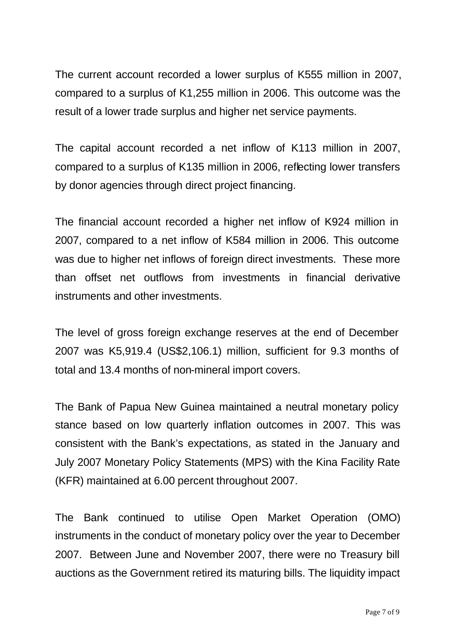The current account recorded a lower surplus of K555 million in 2007, compared to a surplus of K1,255 million in 2006. This outcome was the result of a lower trade surplus and higher net service payments.

The capital account recorded a net inflow of K113 million in 2007, compared to a surplus of K135 million in 2006, reflecting lower transfers by donor agencies through direct project financing.

The financial account recorded a higher net inflow of K924 million in 2007, compared to a net inflow of K584 million in 2006. This outcome was due to higher net inflows of foreign direct investments. These more than offset net outflows from investments in financial derivative instruments and other investments.

The level of gross foreign exchange reserves at the end of December 2007 was K5,919.4 (US\$2,106.1) million, sufficient for 9.3 months of total and 13.4 months of non-mineral import covers.

The Bank of Papua New Guinea maintained a neutral monetary policy stance based on low quarterly inflation outcomes in 2007. This was consistent with the Bank's expectations, as stated in the January and July 2007 Monetary Policy Statements (MPS) with the Kina Facility Rate (KFR) maintained at 6.00 percent throughout 2007.

The Bank continued to utilise Open Market Operation (OMO) instruments in the conduct of monetary policy over the year to December 2007. Between June and November 2007, there were no Treasury bill auctions as the Government retired its maturing bills. The liquidity impact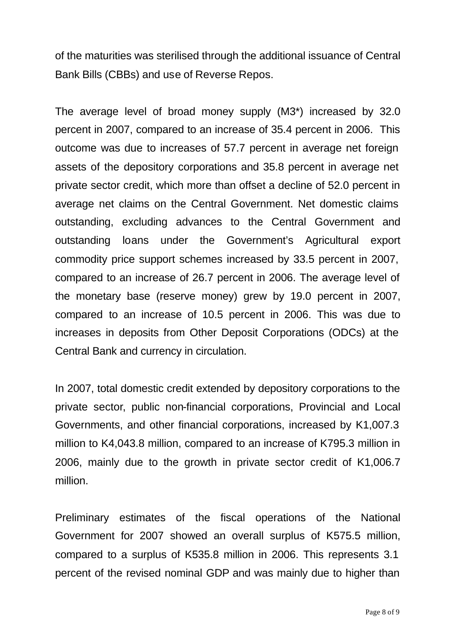of the maturities was sterilised through the additional issuance of Central Bank Bills (CBBs) and use of Reverse Repos.

The average level of broad money supply (M3\*) increased by 32.0 percent in 2007, compared to an increase of 35.4 percent in 2006. This outcome was due to increases of 57.7 percent in average net foreign assets of the depository corporations and 35.8 percent in average net private sector credit, which more than offset a decline of 52.0 percent in average net claims on the Central Government. Net domestic claims outstanding, excluding advances to the Central Government and outstanding loans under the Government's Agricultural export commodity price support schemes increased by 33.5 percent in 2007, compared to an increase of 26.7 percent in 2006. The average level of the monetary base (reserve money) grew by 19.0 percent in 2007, compared to an increase of 10.5 percent in 2006. This was due to increases in deposits from Other Deposit Corporations (ODCs) at the Central Bank and currency in circulation.

In 2007, total domestic credit extended by depository corporations to the private sector, public non-financial corporations, Provincial and Local Governments, and other financial corporations, increased by K1,007.3 million to K4,043.8 million, compared to an increase of K795.3 million in 2006, mainly due to the growth in private sector credit of K1,006.7 million.

Preliminary estimates of the fiscal operations of the National Government for 2007 showed an overall surplus of K575.5 million, compared to a surplus of K535.8 million in 2006. This represents 3.1 percent of the revised nominal GDP and was mainly due to higher than